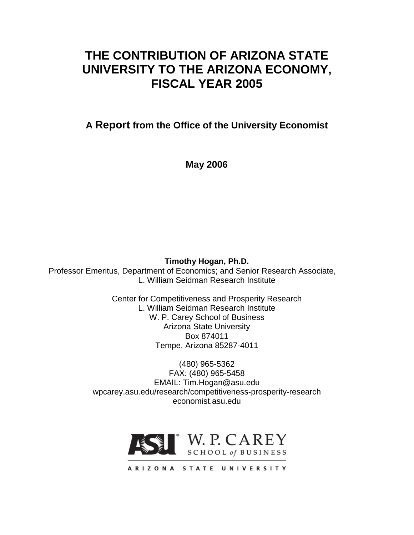# **THE CONTRIBUTION OF ARIZONA STATE UNIVERSITY TO THE ARIZONA ECONOMY, FISCAL YEAR 2005**

**A Report from the Office of the University Economist**

**May 2006**

# **Timothy Hogan, Ph.D.**

Professor Emeritus, Department of Economics; and Senior Research Associate, L. William Seidman Research Institute

> Center for Competitiveness and Prosperity Research L. William Seidman Research Institute W. P. Carey School of Business Arizona State University Box 874011 Tempe, Arizona 85287-4011

(480) 965-5362 FAX: (480) 965-5458 EMAIL: Tim.Hogan@asu.edu wpcarey.asu.edu/research/competitiveness-prosperity-research economist.asu.edu

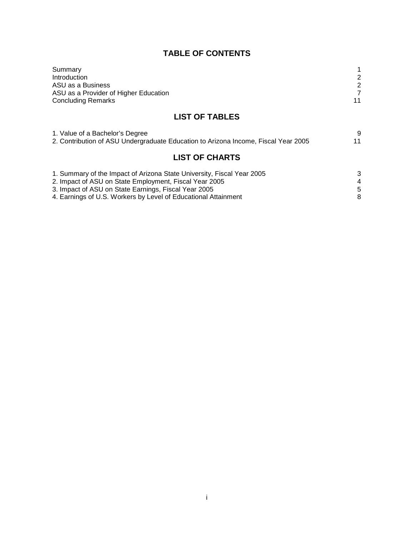# **TABLE OF CONTENTS**

| Summary                                                                            | 1              |
|------------------------------------------------------------------------------------|----------------|
| Introduction                                                                       | 2              |
| ASU as a Business                                                                  | $\overline{2}$ |
| ASU as a Provider of Higher Education                                              | 7              |
| <b>Concluding Remarks</b>                                                          | 11             |
| <b>LIST OF TABLES</b>                                                              |                |
|                                                                                    |                |
| 1. Value of a Bachelor's Degree                                                    | 9              |
| 2. Contribution of ASU Undergraduate Education to Arizona Income, Fiscal Year 2005 | 11             |
| <b>LIST OF CHARTS</b>                                                              |                |
| 1. Summary of the Impact of Arizona State University, Fiscal Year 2005             | 3              |
|                                                                                    |                |
| 2. Impact of ASU on State Employment, Fiscal Year 2005                             | 4              |
| 3. Impact of ASU on State Earnings, Fiscal Year 2005                               | 5              |
| 4. Earnings of U.S. Workers by Level of Educational Attainment                     | 8              |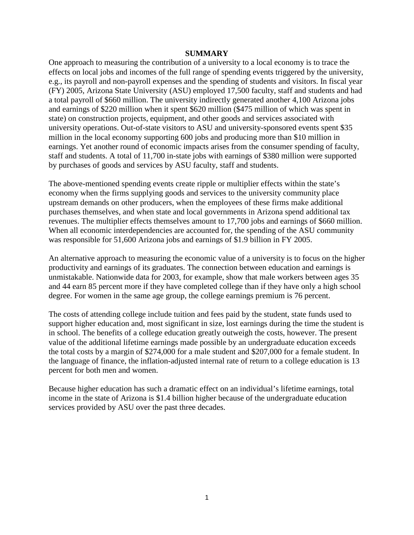#### **SUMMARY**

One approach to measuring the contribution of a university to a local economy is to trace the effects on local jobs and incomes of the full range of spending events triggered by the university, e.g., its payroll and non-payroll expenses and the spending of students and visitors. In fiscal year (FY) 2005, Arizona State University (ASU) employed 17,500 faculty, staff and students and had a total payroll of \$660 million. The university indirectly generated another 4,100 Arizona jobs and earnings of \$220 million when it spent \$620 million (\$475 million of which was spent in state) on construction projects, equipment, and other goods and services associated with university operations. Out-of-state visitors to ASU and university-sponsored events spent \$35 million in the local economy supporting 600 jobs and producing more than \$10 million in earnings. Yet another round of economic impacts arises from the consumer spending of faculty, staff and students. A total of 11,700 in-state jobs with earnings of \$380 million were supported by purchases of goods and services by ASU faculty, staff and students.

The above-mentioned spending events create ripple or multiplier effects within the state's economy when the firms supplying goods and services to the university community place upstream demands on other producers, when the employees of these firms make additional purchases themselves, and when state and local governments in Arizona spend additional tax revenues. The multiplier effects themselves amount to 17,700 jobs and earnings of \$660 million. When all economic interdependencies are accounted for, the spending of the ASU community was responsible for 51,600 Arizona jobs and earnings of \$1.9 billion in FY 2005.

An alternative approach to measuring the economic value of a university is to focus on the higher productivity and earnings of its graduates. The connection between education and earnings is unmistakable. Nationwide data for 2003, for example, show that male workers between ages 35 and 44 earn 85 percent more if they have completed college than if they have only a high school degree. For women in the same age group, the college earnings premium is 76 percent.

The costs of attending college include tuition and fees paid by the student, state funds used to support higher education and, most significant in size, lost earnings during the time the student is in school. The benefits of a college education greatly outweigh the costs, however. The present value of the additional lifetime earnings made possible by an undergraduate education exceeds the total costs by a margin of \$274,000 for a male student and \$207,000 for a female student. In the language of finance, the inflation-adjusted internal rate of return to a college education is 13 percent for both men and women.

Because higher education has such a dramatic effect on an individual's lifetime earnings, total income in the state of Arizona is \$1.4 billion higher because of the undergraduate education services provided by ASU over the past three decades.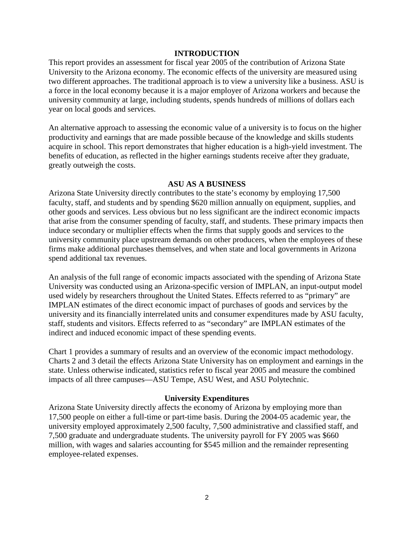#### **INTRODUCTION**

This report provides an assessment for fiscal year 2005 of the contribution of Arizona State University to the Arizona economy. The economic effects of the university are measured using two different approaches. The traditional approach is to view a university like a business. ASU is a force in the local economy because it is a major employer of Arizona workers and because the university community at large, including students, spends hundreds of millions of dollars each year on local goods and services.

An alternative approach to assessing the economic value of a university is to focus on the higher productivity and earnings that are made possible because of the knowledge and skills students acquire in school. This report demonstrates that higher education is a high-yield investment. The benefits of education, as reflected in the higher earnings students receive after they graduate, greatly outweigh the costs.

#### **ASU AS A BUSINESS**

Arizona State University directly contributes to the state's economy by employing 17,500 faculty, staff, and students and by spending \$620 million annually on equipment, supplies, and other goods and services. Less obvious but no less significant are the indirect economic impacts that arise from the consumer spending of faculty, staff, and students. These primary impacts then induce secondary or multiplier effects when the firms that supply goods and services to the university community place upstream demands on other producers, when the employees of these firms make additional purchases themselves, and when state and local governments in Arizona spend additional tax revenues.

An analysis of the full range of economic impacts associated with the spending of Arizona State University was conducted using an Arizona-specific version of IMPLAN, an input-output model used widely by researchers throughout the United States. Effects referred to as "primary" are IMPLAN estimates of the direct economic impact of purchases of goods and services by the university and its financially interrelated units and consumer expenditures made by ASU faculty, staff, students and visitors. Effects referred to as "secondary" are IMPLAN estimates of the indirect and induced economic impact of these spending events.

Chart 1 provides a summary of results and an overview of the economic impact methodology. Charts 2 and 3 detail the effects Arizona State University has on employment and earnings in the state. Unless otherwise indicated, statistics refer to fiscal year 2005 and measure the combined impacts of all three campuses—ASU Tempe, ASU West, and ASU Polytechnic.

### **University Expenditures**

Arizona State University directly affects the economy of Arizona by employing more than 17,500 people on either a full-time or part-time basis. During the 2004-05 academic year, the university employed approximately 2,500 faculty, 7,500 administrative and classified staff, and 7,500 graduate and undergraduate students. The university payroll for FY 2005 was \$660 million, with wages and salaries accounting for \$545 million and the remainder representing employee-related expenses.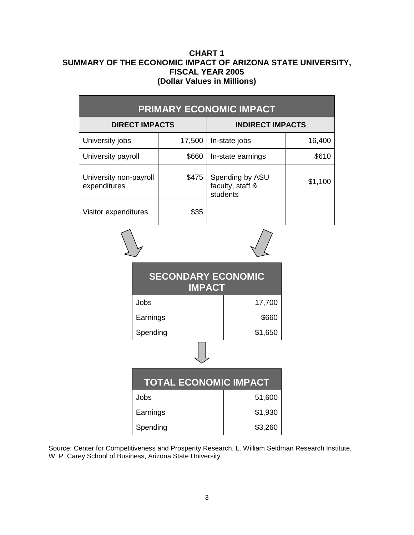# **CHART 1 SUMMARY OF THE ECONOMIC IMPACT OF ARIZONA STATE UNIVERSITY, FISCAL YEAR 2005 (Dollar Values in Millions)**

| <b>PRIMARY ECONOMIC IMPACT</b>         |        |                                                 |         |  |  |
|----------------------------------------|--------|-------------------------------------------------|---------|--|--|
| <b>DIRECT IMPACTS</b>                  |        | <b>INDIRECT IMPACTS</b>                         |         |  |  |
| University jobs                        | 17,500 | In-state jobs                                   | 16,400  |  |  |
| University payroll                     | \$660  | In-state earnings                               | \$610   |  |  |
| University non-payroll<br>expenditures | \$475  | Spending by ASU<br>faculty, staff &<br>students | \$1,100 |  |  |
| Visitor expenditures                   | \$35   |                                                 |         |  |  |

| <b>SECONDARY ECONOMIC</b><br><b>IMPACT</b> |         |  |
|--------------------------------------------|---------|--|
| Jobs                                       | 17,700  |  |
| Earnings                                   | \$660   |  |
| Spending                                   | \$1,650 |  |
|                                            |         |  |
|                                            |         |  |

| <b>TOTAL ECONOMIC IMPACT</b> |         |  |  |
|------------------------------|---------|--|--|
| Jobs                         | 51,600  |  |  |
| Earnings                     | \$1,930 |  |  |
| Spending                     | \$3,260 |  |  |

Source: Center for Competitiveness and Prosperity Research, L. William Seidman Research Institute, W. P. Carey School of Business, Arizona State University.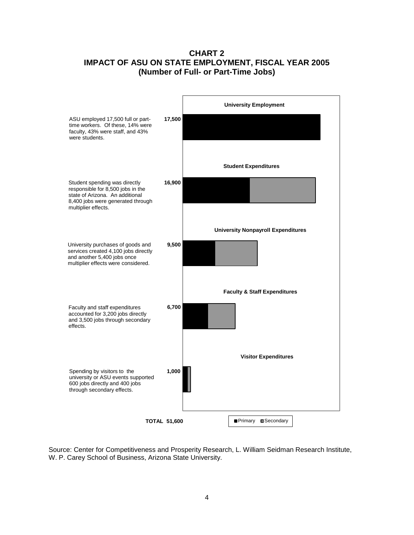# **CHART 2 IMPACT OF ASU ON STATE EMPLOYMENT, FISCAL YEAR 2005 (Number of Full- or Part-Time Jobs)**



Source: Center for Competitiveness and Prosperity Research, L. William Seidman Research Institute, W. P. Carey School of Business, Arizona State University.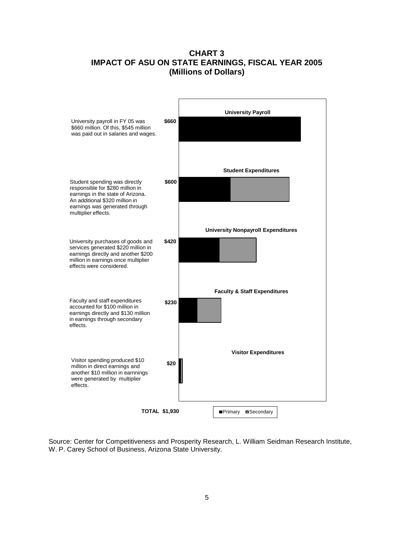# **CHART 3 IMPACT OF ASU ON STATE EARNINGS, FISCAL YEAR 2005 (Millions of Dollars)**



Source: Center for Competitiveness and Prosperity Research, L. William Seidman Research Institute, W. P. Carey School of Business, Arizona State University.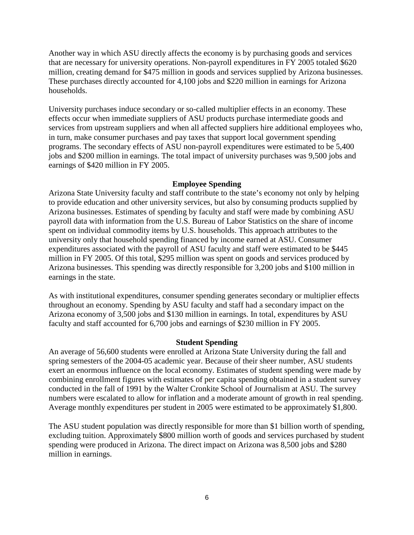Another way in which ASU directly affects the economy is by purchasing goods and services that are necessary for university operations. Non-payroll expenditures in FY 2005 totaled \$620 million, creating demand for \$475 million in goods and services supplied by Arizona businesses. These purchases directly accounted for 4,100 jobs and \$220 million in earnings for Arizona households.

University purchases induce secondary or so-called multiplier effects in an economy. These effects occur when immediate suppliers of ASU products purchase intermediate goods and services from upstream suppliers and when all affected suppliers hire additional employees who, in turn, make consumer purchases and pay taxes that support local government spending programs. The secondary effects of ASU non-payroll expenditures were estimated to be 5,400 jobs and \$200 million in earnings. The total impact of university purchases was 9,500 jobs and earnings of \$420 million in FY 2005.

#### **Employee Spending**

Arizona State University faculty and staff contribute to the state's economy not only by helping to provide education and other university services, but also by consuming products supplied by Arizona businesses. Estimates of spending by faculty and staff were made by combining ASU payroll data with information from the U.S. Bureau of Labor Statistics on the share of income spent on individual commodity items by U.S. households. This approach attributes to the university only that household spending financed by income earned at ASU. Consumer expenditures associated with the payroll of ASU faculty and staff were estimated to be \$445 million in FY 2005. Of this total, \$295 million was spent on goods and services produced by Arizona businesses. This spending was directly responsible for 3,200 jobs and \$100 million in earnings in the state.

As with institutional expenditures, consumer spending generates secondary or multiplier effects throughout an economy. Spending by ASU faculty and staff had a secondary impact on the Arizona economy of 3,500 jobs and \$130 million in earnings. In total, expenditures by ASU faculty and staff accounted for 6,700 jobs and earnings of \$230 million in FY 2005.

#### **Student Spending**

An average of 56,600 students were enrolled at Arizona State University during the fall and spring semesters of the 2004-05 academic year. Because of their sheer number, ASU students exert an enormous influence on the local economy. Estimates of student spending were made by combining enrollment figures with estimates of per capita spending obtained in a student survey conducted in the fall of 1991 by the Walter Cronkite School of Journalism at ASU. The survey numbers were escalated to allow for inflation and a moderate amount of growth in real spending. Average monthly expenditures per student in 2005 were estimated to be approximately \$1,800.

The ASU student population was directly responsible for more than \$1 billion worth of spending, excluding tuition. Approximately \$800 million worth of goods and services purchased by student spending were produced in Arizona. The direct impact on Arizona was 8,500 jobs and \$280 million in earnings.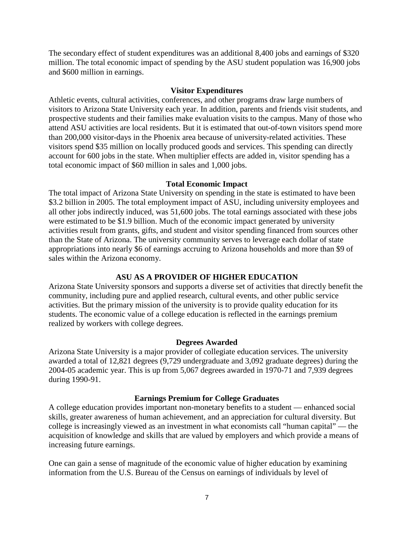The secondary effect of student expenditures was an additional 8,400 jobs and earnings of \$320 million. The total economic impact of spending by the ASU student population was 16,900 jobs and \$600 million in earnings.

#### **Visitor Expenditures**

Athletic events, cultural activities, conferences, and other programs draw large numbers of visitors to Arizona State University each year. In addition, parents and friends visit students, and prospective students and their families make evaluation visits to the campus. Many of those who attend ASU activities are local residents. But it is estimated that out-of-town visitors spend more than 200,000 visitor-days in the Phoenix area because of university-related activities. These visitors spend \$35 million on locally produced goods and services. This spending can directly account for 600 jobs in the state. When multiplier effects are added in, visitor spending has a total economic impact of \$60 million in sales and 1,000 jobs.

#### **Total Economic Impact**

The total impact of Arizona State University on spending in the state is estimated to have been \$3.2 billion in 2005. The total employment impact of ASU, including university employees and all other jobs indirectly induced, was 51,600 jobs. The total earnings associated with these jobs were estimated to be \$1.9 billion. Much of the economic impact generated by university activities result from grants, gifts, and student and visitor spending financed from sources other than the State of Arizona. The university community serves to leverage each dollar of state appropriations into nearly \$6 of earnings accruing to Arizona households and more than \$9 of sales within the Arizona economy.

### **ASU AS A PROVIDER OF HIGHER EDUCATION**

Arizona State University sponsors and supports a diverse set of activities that directly benefit the community, including pure and applied research, cultural events, and other public service activities. But the primary mission of the university is to provide quality education for its students. The economic value of a college education is reflected in the earnings premium realized by workers with college degrees.

#### **Degrees Awarded**

Arizona State University is a major provider of collegiate education services. The university awarded a total of 12,821 degrees (9,729 undergraduate and 3,092 graduate degrees) during the 2004-05 academic year. This is up from 5,067 degrees awarded in 1970-71 and 7,939 degrees during 1990-91.

#### **Earnings Premium for College Graduates**

A college education provides important non-monetary benefits to a student — enhanced social skills, greater awareness of human achievement, and an appreciation for cultural diversity. But college is increasingly viewed as an investment in what economists call "human capital" — the acquisition of knowledge and skills that are valued by employers and which provide a means of increasing future earnings.

One can gain a sense of magnitude of the economic value of higher education by examining information from the U.S. Bureau of the Census on earnings of individuals by level of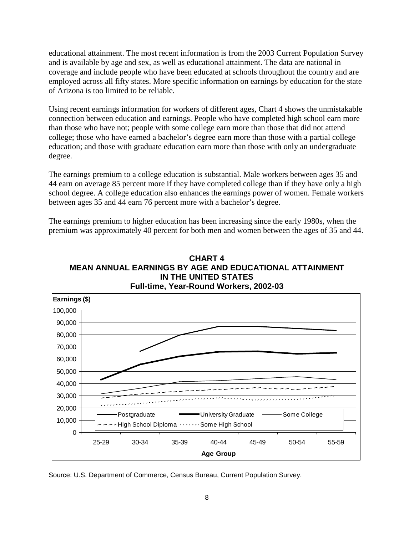educational attainment. The most recent information is from the 2003 Current Population Survey and is available by age and sex, as well as educational attainment. The data are national in coverage and include people who have been educated at schools throughout the country and are employed across all fifty states. More specific information on earnings by education for the state of Arizona is too limited to be reliable.

Using recent earnings information for workers of different ages, Chart 4 shows the unmistakable connection between education and earnings. People who have completed high school earn more than those who have not; people with some college earn more than those that did not attend college; those who have earned a bachelor's degree earn more than those with a partial college education; and those with graduate education earn more than those with only an undergraduate degree.

The earnings premium to a college education is substantial. Male workers between ages 35 and 44 earn on average 85 percent more if they have completed college than if they have only a high school degree. A college education also enhances the earnings power of women. Female workers between ages 35 and 44 earn 76 percent more with a bachelor's degree.

The earnings premium to higher education has been increasing since the early 1980s, when the premium was approximately 40 percent for both men and women between the ages of 35 and 44.





Source: U.S. Department of Commerce, Census Bureau, Current Population Survey.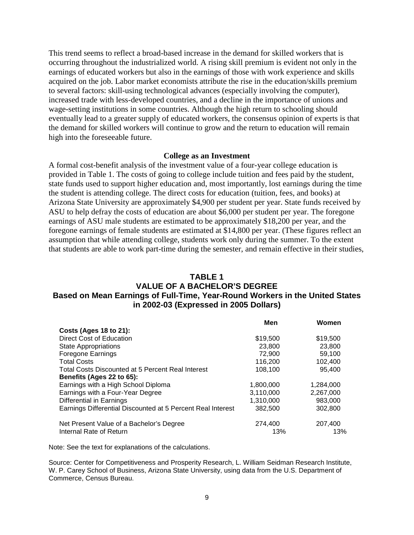This trend seems to reflect a broad-based increase in the demand for skilled workers that is occurring throughout the industrialized world. A rising skill premium is evident not only in the earnings of educated workers but also in the earnings of those with work experience and skills acquired on the job. Labor market economists attribute the rise in the education/skills premium to several factors: skill-using technological advances (especially involving the computer), increased trade with less-developed countries, and a decline in the importance of unions and wage-setting institutions in some countries. Although the high return to schooling should eventually lead to a greater supply of educated workers, the consensus opinion of experts is that the demand for skilled workers will continue to grow and the return to education will remain high into the foreseeable future.

#### **College as an Investment**

A formal cost-benefit analysis of the investment value of a four-year college education is provided in Table 1. The costs of going to college include tuition and fees paid by the student, state funds used to support higher education and, most importantly, lost earnings during the time the student is attending college. The direct costs for education (tuition, fees, and books) at Arizona State University are approximately \$4,900 per student per year. State funds received by ASU to help defray the costs of education are about \$6,000 per student per year. The foregone earnings of ASU male students are estimated to be approximately \$18,200 per year, and the foregone earnings of female students are estimated at \$14,800 per year. (These figures reflect an assumption that while attending college, students work only during the summer. To the extent that students are able to work part-time during the semester, and remain effective in their studies,

# **TABLE 1 VALUE OF A BACHELOR'S DEGREE Based on Mean Earnings of Full-Time, Year-Round Workers in the United States in 2002-03 (Expressed in 2005 Dollars)**

|                                                             | Men       | Women     |
|-------------------------------------------------------------|-----------|-----------|
| Costs (Ages 18 to 21):                                      |           |           |
| Direct Cost of Education                                    | \$19,500  | \$19,500  |
| <b>State Appropriations</b>                                 | 23,800    | 23,800    |
| Foregone Earnings                                           | 72,900    | 59,100    |
| <b>Total Costs</b>                                          | 116,200   | 102,400   |
| Total Costs Discounted at 5 Percent Real Interest           | 108,100   | 95,400    |
| Benefits (Ages 22 to 65):                                   |           |           |
| Earnings with a High School Diploma                         | 1,800,000 | 1,284,000 |
| Earnings with a Four-Year Degree                            | 3,110,000 | 2,267,000 |
| Differential in Earnings                                    | 1.310.000 | 983,000   |
| Earnings Differential Discounted at 5 Percent Real Interest | 382,500   | 302,800   |
| Net Present Value of a Bachelor's Degree                    | 274,400   | 207,400   |
| Internal Rate of Return                                     | 13%       | 13%       |

Note: See the text for explanations of the calculations.

Source: Center for Competitiveness and Prosperity Research, L. William Seidman Research Institute, W. P. Carey School of Business, Arizona State University, using data from the U.S. Department of Commerce, Census Bureau.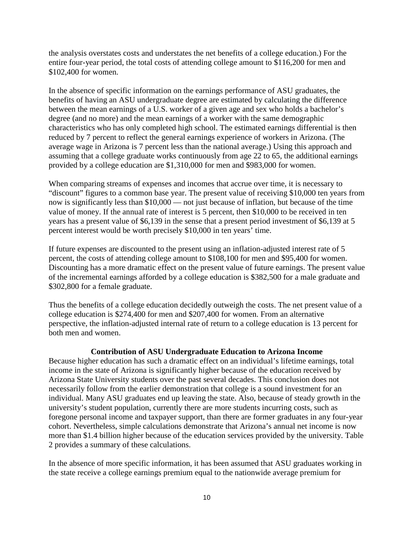the analysis overstates costs and understates the net benefits of a college education.) For the entire four-year period, the total costs of attending college amount to \$116,200 for men and \$102,400 for women.

In the absence of specific information on the earnings performance of ASU graduates, the benefits of having an ASU undergraduate degree are estimated by calculating the difference between the mean earnings of a U.S. worker of a given age and sex who holds a bachelor's degree (and no more) and the mean earnings of a worker with the same demographic characteristics who has only completed high school. The estimated earnings differential is then reduced by 7 percent to reflect the general earnings experience of workers in Arizona. (The average wage in Arizona is 7 percent less than the national average.) Using this approach and assuming that a college graduate works continuously from age 22 to 65, the additional earnings provided by a college education are \$1,310,000 for men and \$983,000 for women.

When comparing streams of expenses and incomes that accrue over time, it is necessary to "discount" figures to a common base year. The present value of receiving \$10,000 ten years from now is significantly less than \$10,000 — not just because of inflation, but because of the time value of money. If the annual rate of interest is 5 percent, then \$10,000 to be received in ten years has a present value of \$6,139 in the sense that a present period investment of \$6,139 at 5 percent interest would be worth precisely \$10,000 in ten years' time.

If future expenses are discounted to the present using an inflation-adjusted interest rate of 5 percent, the costs of attending college amount to \$108,100 for men and \$95,400 for women. Discounting has a more dramatic effect on the present value of future earnings. The present value of the incremental earnings afforded by a college education is \$382,500 for a male graduate and \$302,800 for a female graduate.

Thus the benefits of a college education decidedly outweigh the costs. The net present value of a college education is \$274,400 for men and \$207,400 for women. From an alternative perspective, the inflation-adjusted internal rate of return to a college education is 13 percent for both men and women.

# **Contribution of ASU Undergraduate Education to Arizona Income**

Because higher education has such a dramatic effect on an individual's lifetime earnings, total income in the state of Arizona is significantly higher because of the education received by Arizona State University students over the past several decades. This conclusion does not necessarily follow from the earlier demonstration that college is a sound investment for an individual. Many ASU graduates end up leaving the state. Also, because of steady growth in the university's student population, currently there are more students incurring costs, such as foregone personal income and taxpayer support, than there are former graduates in any four-year cohort. Nevertheless, simple calculations demonstrate that Arizona's annual net income is now more than \$1.4 billion higher because of the education services provided by the university. Table 2 provides a summary of these calculations.

In the absence of more specific information, it has been assumed that ASU graduates working in the state receive a college earnings premium equal to the nationwide average premium for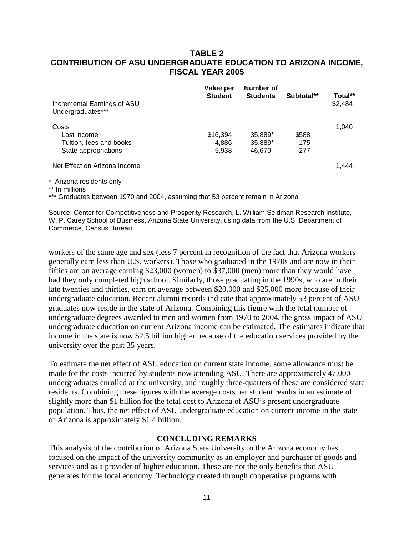# **TABLE 2 CONTRIBUTION OF ASU UNDERGRADUATE EDUCATION TO ARIZONA INCOME, FISCAL YEAR 2005**

|                                                  | Value per<br><b>Student</b> | Number of<br><b>Students</b> | Subtotal** | Total** |
|--------------------------------------------------|-----------------------------|------------------------------|------------|---------|
| Incremental Earnings of ASU<br>Undergraduates*** |                             |                              |            | \$2,484 |
| Costs                                            |                             |                              |            | 1.040   |
| Lost income                                      | \$16,394                    | 35,889*                      | \$588      |         |
| Tuition, fees and books                          | 4,886                       | 35,889*                      | 175        |         |
| State appropriations                             | 5,938                       | 46.670                       | 277        |         |
| Net Effect on Arizona Income                     |                             |                              |            | 1,444   |

\* Arizona residents only

\*\* In millions

\*\*\* Graduates between 1970 and 2004, assuming that 53 percent remain in Arizona

Source: Center for Competitiveness and Prosperity Research, L. William Seidman Research Institute, W. P. Carey School of Business, Arizona State University, using data from the U.S. Department of Commerce, Census Bureau.

workers of the same age and sex (less 7 percent in recognition of the fact that Arizona workers generally earn less than U.S. workers). Those who graduated in the 1970s and are now in their fifties are on average earning \$23,000 (women) to \$37,000 (men) more than they would have had they only completed high school. Similarly, those graduating in the 1990s, who are in their late twenties and thirties, earn on average between \$20,000 and \$25,000 more because of their undergraduate education. Recent alumni records indicate that approximately 53 percent of ASU graduates now reside in the state of Arizona. Combining this figure with the total number of undergraduate degrees awarded to men and women from 1970 to 2004, the gross impact of ASU undergraduate education on current Arizona income can be estimated. The estimates indicate that income in the state is now \$2.5 billion higher because of the education services provided by the university over the past 35 years.

To estimate the net effect of ASU education on current state income, some allowance must be made for the costs incurred by students now attending ASU. There are approximately 47,000 undergraduates enrolled at the university, and roughly three-quarters of these are considered state residents. Combining these figures with the average costs per student results in an estimate of slightly more than \$1 billion for the total cost to Arizona of ASU's present undergraduate population. Thus, the net effect of ASU undergraduate education on current income in the state of Arizona is approximately \$1.4 billion.

# **CONCLUDING REMARKS**

This analysis of the contribution of Arizona State University to the Arizona economy has focused on the impact of the university community as an employer and purchaser of goods and services and as a provider of higher education. These are not the only benefits that ASU generates for the local economy. Technology created through cooperative programs with